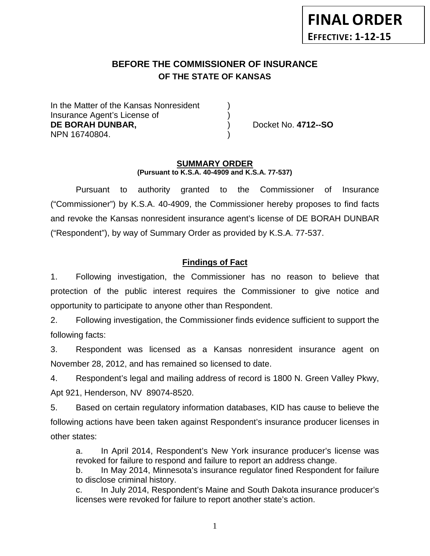# **BEFORE THE COMMISSIONER OF INSURANCE OF THE STATE OF KANSAS**

In the Matter of the Kansas Nonresident Insurance Agent's License of ) **DE BORAH DUNBAR,** ) Docket No. **4712--SO** NPN 16740804. )

#### **SUMMARY ORDER (Pursuant to K.S.A. 40-4909 and K.S.A. 77-537)**

Pursuant to authority granted to the Commissioner of Insurance ("Commissioner") by K.S.A. 40-4909, the Commissioner hereby proposes to find facts and revoke the Kansas nonresident insurance agent's license of DE BORAH DUNBAR ("Respondent"), by way of Summary Order as provided by K.S.A. 77-537.

## **Findings of Fact**

1. Following investigation, the Commissioner has no reason to believe that protection of the public interest requires the Commissioner to give notice and opportunity to participate to anyone other than Respondent.

2. Following investigation, the Commissioner finds evidence sufficient to support the following facts:

3. Respondent was licensed as a Kansas nonresident insurance agent on November 28, 2012, and has remained so licensed to date.

4. Respondent's legal and mailing address of record is 1800 N. Green Valley Pkwy, Apt 921, Henderson, NV 89074-8520.

5. Based on certain regulatory information databases, KID has cause to believe the following actions have been taken against Respondent's insurance producer licenses in other states:

a. In April 2014, Respondent's New York insurance producer's license was revoked for failure to respond and failure to report an address change.

b. In May 2014, Minnesota's insurance regulator fined Respondent for failure to disclose criminal history.

c. In July 2014, Respondent's Maine and South Dakota insurance producer's licenses were revoked for failure to report another state's action.

1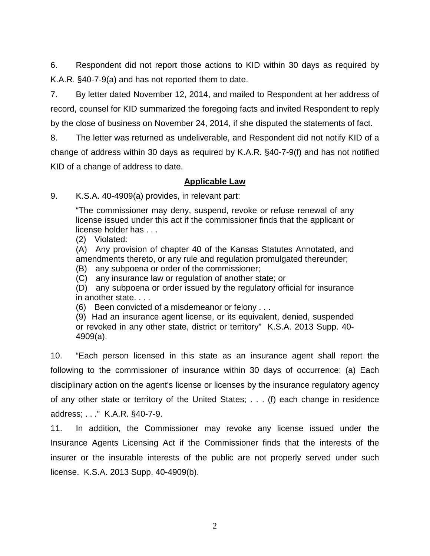6. Respondent did not report those actions to KID within 30 days as required by K.A.R. §40-7-9(a) and has not reported them to date.

7. By letter dated November 12, 2014, and mailed to Respondent at her address of record, counsel for KID summarized the foregoing facts and invited Respondent to reply by the close of business on November 24, 2014, if she disputed the statements of fact.

8. The letter was returned as undeliverable, and Respondent did not notify KID of a change of address within 30 days as required by K.A.R. §40-7-9(f) and has not notified KID of a change of address to date.

### **Applicable Law**

9. K.S.A. 40-4909(a) provides, in relevant part:

"The commissioner may deny, suspend, revoke or refuse renewal of any license issued under this act if the commissioner finds that the applicant or license holder has . . .

(2) Violated:

(A) Any provision of chapter 40 of the Kansas Statutes Annotated, and amendments thereto, or any rule and regulation promulgated thereunder;

(B) any subpoena or order of the commissioner;

(C) any insurance law or regulation of another state; or

(D) any subpoena or order issued by the regulatory official for insurance in another state. . . .

(6) Been convicted of a misdemeanor or felony . . .

(9) Had an insurance agent license, or its equivalent, denied, suspended or revoked in any other state, district or territory" K.S.A. 2013 Supp. 40- 4909(a).

10. "Each person licensed in this state as an insurance agent shall report the following to the commissioner of insurance within 30 days of occurrence: (a) Each disciplinary action on the agent's license or licenses by the insurance regulatory agency of any other state or territory of the United States; . . . (f) each change in residence address; . . ." K.A.R. §40-7-9.

11. In addition, the Commissioner may revoke any license issued under the Insurance Agents Licensing Act if the Commissioner finds that the interests of the insurer or the insurable interests of the public are not properly served under such license. K.S.A. 2013 Supp. 40-4909(b).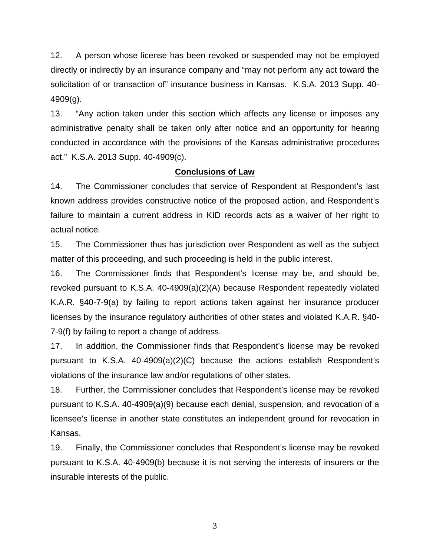12. A person whose license has been revoked or suspended may not be employed directly or indirectly by an insurance company and "may not perform any act toward the solicitation of or transaction of" insurance business in Kansas. K.S.A. 2013 Supp. 40- 4909(g).

13. "Any action taken under this section which affects any license or imposes any administrative penalty shall be taken only after notice and an opportunity for hearing conducted in accordance with the provisions of the Kansas administrative procedures act." K.S.A. 2013 Supp. 40-4909(c).

#### **Conclusions of Law**

14. The Commissioner concludes that service of Respondent at Respondent's last known address provides constructive notice of the proposed action, and Respondent's failure to maintain a current address in KID records acts as a waiver of her right to actual notice.

15. The Commissioner thus has jurisdiction over Respondent as well as the subject matter of this proceeding, and such proceeding is held in the public interest.

16. The Commissioner finds that Respondent's license may be, and should be, revoked pursuant to K.S.A. 40-4909(a)(2)(A) because Respondent repeatedly violated K.A.R. §40-7-9(a) by failing to report actions taken against her insurance producer licenses by the insurance regulatory authorities of other states and violated K.A.R. §40- 7-9(f) by failing to report a change of address.

17. In addition, the Commissioner finds that Respondent's license may be revoked pursuant to K.S.A. 40-4909(a)(2)(C) because the actions establish Respondent's violations of the insurance law and/or regulations of other states.

18. Further, the Commissioner concludes that Respondent's license may be revoked pursuant to K.S.A. 40-4909(a)(9) because each denial, suspension, and revocation of a licensee's license in another state constitutes an independent ground for revocation in Kansas.

19. Finally, the Commissioner concludes that Respondent's license may be revoked pursuant to K.S.A. 40-4909(b) because it is not serving the interests of insurers or the insurable interests of the public.

3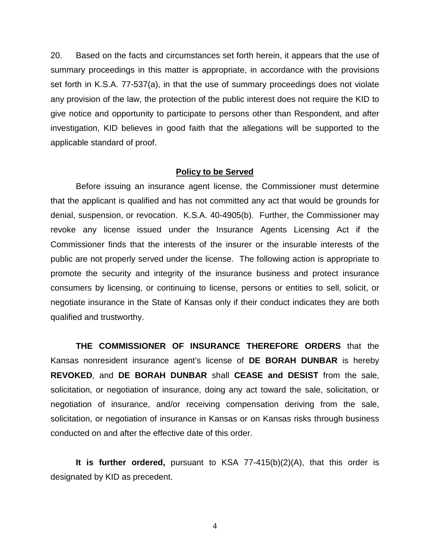20. Based on the facts and circumstances set forth herein, it appears that the use of summary proceedings in this matter is appropriate, in accordance with the provisions set forth in K.S.A. 77-537(a), in that the use of summary proceedings does not violate any provision of the law, the protection of the public interest does not require the KID to give notice and opportunity to participate to persons other than Respondent, and after investigation, KID believes in good faith that the allegations will be supported to the applicable standard of proof.

#### **Policy to be Served**

Before issuing an insurance agent license, the Commissioner must determine that the applicant is qualified and has not committed any act that would be grounds for denial, suspension, or revocation. K.S.A. 40-4905(b). Further, the Commissioner may revoke any license issued under the Insurance Agents Licensing Act if the Commissioner finds that the interests of the insurer or the insurable interests of the public are not properly served under the license. The following action is appropriate to promote the security and integrity of the insurance business and protect insurance consumers by licensing, or continuing to license, persons or entities to sell, solicit, or negotiate insurance in the State of Kansas only if their conduct indicates they are both qualified and trustworthy.

**THE COMMISSIONER OF INSURANCE THEREFORE ORDERS** that the Kansas nonresident insurance agent's license of **DE BORAH DUNBAR** is hereby **REVOKED**, and **DE BORAH DUNBAR** shall **CEASE and DESIST** from the sale, solicitation, or negotiation of insurance, doing any act toward the sale, solicitation, or negotiation of insurance, and/or receiving compensation deriving from the sale, solicitation, or negotiation of insurance in Kansas or on Kansas risks through business conducted on and after the effective date of this order.

**It is further ordered,** pursuant to KSA 77-415(b)(2)(A), that this order is designated by KID as precedent.

4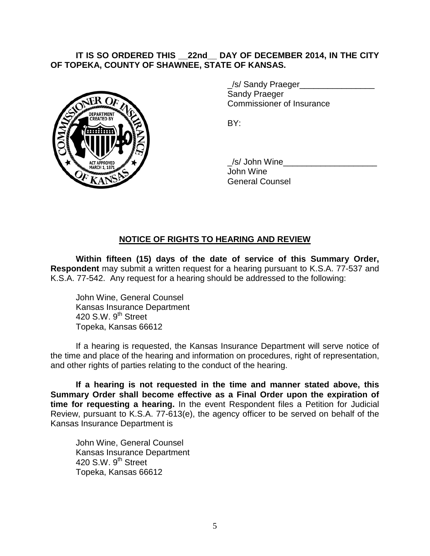### **IT IS SO ORDERED THIS \_\_22nd\_\_ DAY OF DECEMBER 2014, IN THE CITY OF TOPEKA, COUNTY OF SHAWNEE, STATE OF KANSAS.**



\_/s/ Sandy Praeger\_\_\_\_\_\_\_\_\_\_\_\_\_\_\_\_ Sandy Praeger Commissioner of Insurance

BY:

/s/ John Wine John Wine General Counsel

## **NOTICE OF RIGHTS TO HEARING AND REVIEW**

**Within fifteen (15) days of the date of service of this Summary Order, Respondent** may submit a written request for a hearing pursuant to K.S.A. 77-537 and K.S.A. 77-542. Any request for a hearing should be addressed to the following:

John Wine, General Counsel Kansas Insurance Department 420 S.W.  $9<sup>th</sup>$  Street Topeka, Kansas 66612

If a hearing is requested, the Kansas Insurance Department will serve notice of the time and place of the hearing and information on procedures, right of representation, and other rights of parties relating to the conduct of the hearing.

**If a hearing is not requested in the time and manner stated above, this Summary Order shall become effective as a Final Order upon the expiration of time for requesting a hearing.** In the event Respondent files a Petition for Judicial Review, pursuant to K.S.A. 77-613(e), the agency officer to be served on behalf of the Kansas Insurance Department is

John Wine, General Counsel Kansas Insurance Department 420 S.W. 9<sup>th</sup> Street Topeka, Kansas 66612